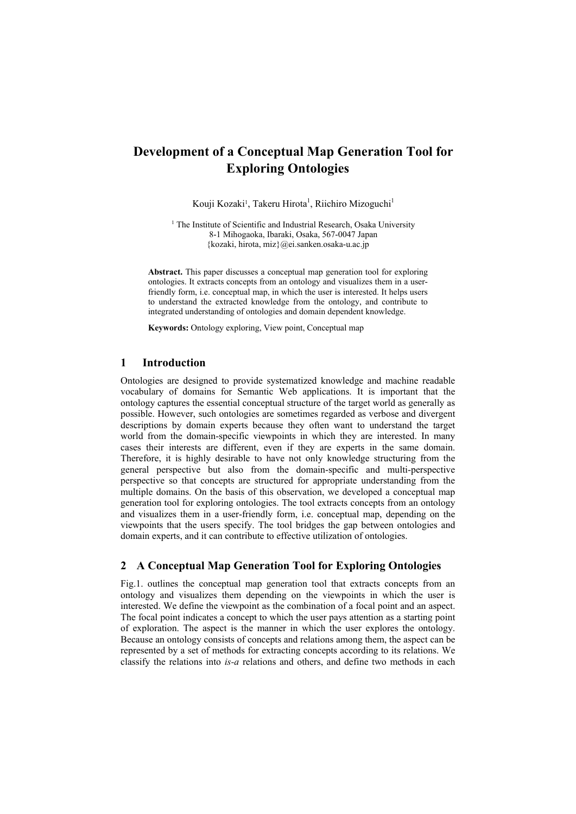# **Development of a Conceptual Map Generation Tool for Exploring Ontologies**

Kouji Kozaki<sup>1</sup>, Takeru Hirota<sup>1</sup>, Riichiro Mizoguchi<sup>1</sup>

<sup>1</sup> The Institute of Scientific and Industrial Research, Osaka University 8-1 Mihogaoka, Ibaraki, Osaka, 567-0047 Japan {kozaki, hirota, miz}@ei.sanken.osaka-u.ac.jp

**Abstract.** This paper discusses a conceptual map generation tool for exploring ontologies. It extracts concepts from an ontology and visualizes them in a userfriendly form, i.e. conceptual map, in which the user is interested. It helps users to understand the extracted knowledge from the ontology, and contribute to integrated understanding of ontologies and domain dependent knowledge.

**Keywords:** Ontology exploring, View point, Conceptual map

#### **1 Introduction**

Ontologies are designed to provide systematized knowledge and machine readable vocabulary of domains for Semantic Web applications. It is important that the ontology captures the essential conceptual structure of the target world as generally as possible. However, such ontologies are sometimes regarded as verbose and divergent descriptions by domain experts because they often want to understand the target world from the domain-specific viewpoints in which they are interested. In many cases their interests are different, even if they are experts in the same domain. Therefore, it is highly desirable to have not only knowledge structuring from the general perspective but also from the domain-specific and multi-perspective perspective so that concepts are structured for appropriate understanding from the multiple domains. On the basis of this observation, we developed a conceptual map generation tool for exploring ontologies. The tool extracts concepts from an ontology and visualizes them in a user-friendly form, i.e. conceptual map, depending on the viewpoints that the users specify. The tool bridges the gap between ontologies and domain experts, and it can contribute to effective utilization of ontologies.

# **2 A Conceptual Map Generation Tool for Exploring Ontologies**

Fig.1. outlines the conceptual map generation tool that extracts concepts from an ontology and visualizes them depending on the viewpoints in which the user is interested. We define the viewpoint as the combination of a focal point and an aspect. The focal point indicates a concept to which the user pays attention as a starting point of exploration. The aspect is the manner in which the user explores the ontology. Because an ontology consists of concepts and relations among them, the aspect can be represented by a set of methods for extracting concepts according to its relations. We classify the relations into *is-a* relations and others, and define two methods in each